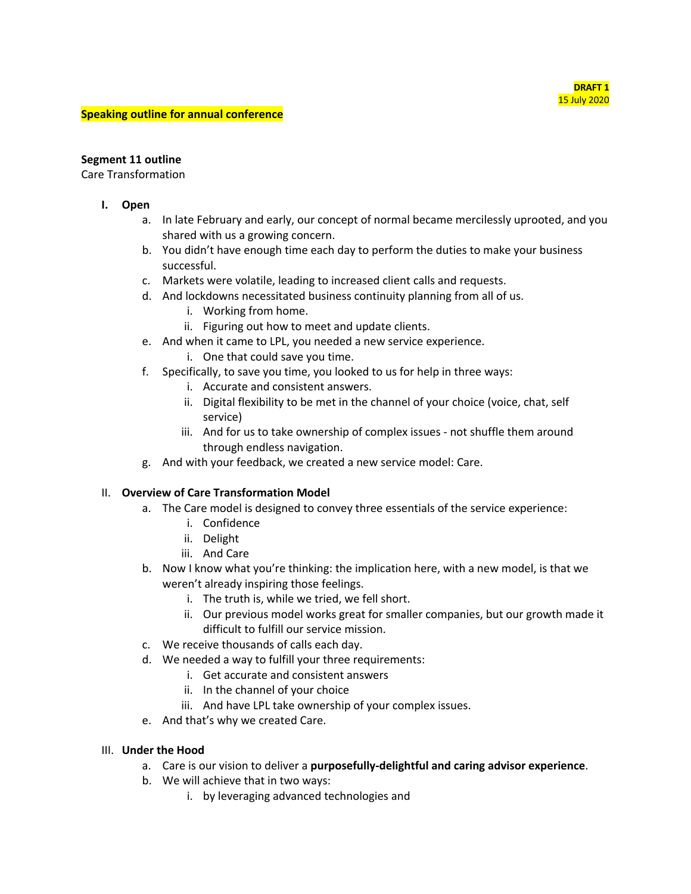#### **Speaking outline for annual conference**

### **Segment 11 outline**

Care Transformation

- **I. Open**
	- a. In late February and early, our concept of normal became mercilessly uprooted, and you shared with us a growing concern.
	- b. You didn't have enough time each day to perform the duties to make your business successful.
	- c. Markets were volatile, leading to increased client calls and requests.
	- d. And lockdowns necessitated business continuity planning from all of us.
		- i. Working from home.
		- ii. Figuring out how to meet and update clients.
	- e. And when it came to LPL, you needed a new service experience.
		- i. One that could save you time.
	- f. Specifically, to save you time, you looked to us for help in three ways:
		- i. Accurate and consistent answers.
		- ii. Digital flexibility to be met in the channel of your choice (voice, chat, self service)
		- iii. And for us to take ownership of complex issues not shuffle them around through endless navigation.
	- g. And with your feedback, we created a new service model: Care.

### II. **Overview of Care Transformation Model**

- a. The Care model is designed to convey three essentials of the service experience:
	- i. Confidence
	- ii. Delight
	- iii. And Care
- b. Now I know what you're thinking: the implication here, with a new model, is that we weren't already inspiring those feelings.
	- i. The truth is, while we tried, we fell short.
	- ii. Our previous model works great for smaller companies, but our growth made it difficult to fulfill our service mission.
- c. We receive thousands of calls each day.
- d. We needed a way to fulfill your three requirements:
	- i. Get accurate and consistent answers
	- ii. In the channel of your choice
	- iii. And have LPL take ownership of your complex issues.
- e. And that's why we created Care.

### III. **Under the Hood**

- a. Care is our vision to deliver a **purposefully-delightful and caring advisor experience**.
- b. We will achieve that in two ways:
	- i. by leveraging advanced technologies and